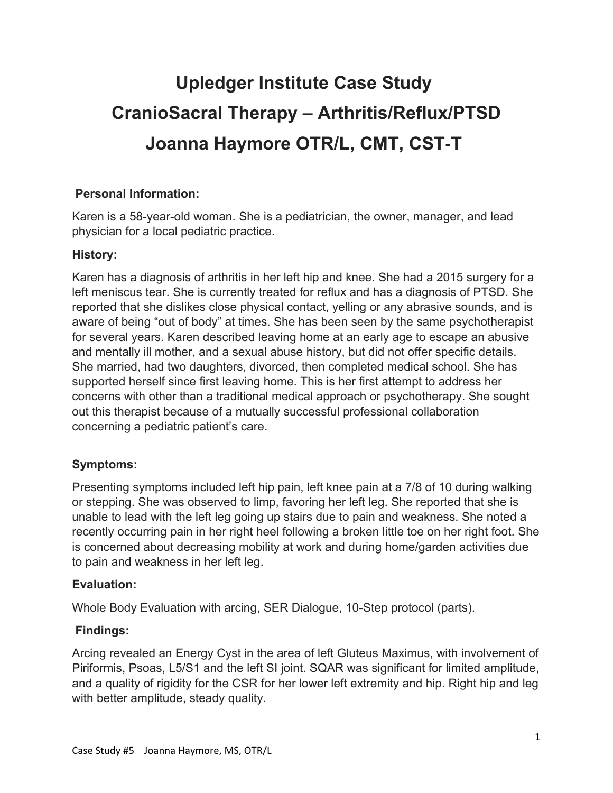# **Upledger Institute Case Study CranioSacral Therapy – Arthritis/Reflux/PTSD Joanna Haymore OTR/L, CMT, CST**-**T**

## **Personal Information:**

Karen is a 58-year-old woman. She is a pediatrician, the owner, manager, and lead physician for a local pediatric practice.

## **History:**

Karen has a diagnosis of arthritis in her left hip and knee. She had a 2015 surgery for a left meniscus tear. She is currently treated for reflux and has a diagnosis of PTSD. She reported that she dislikes close physical contact, yelling or any abrasive sounds, and is aware of being "out of body" at times. She has been seen by the same psychotherapist for several years. Karen described leaving home at an early age to escape an abusive and mentally ill mother, and a sexual abuse history, but did not offer specific details. She married, had two daughters, divorced, then completed medical school. She has supported herself since first leaving home. This is her first attempt to address her concerns with other than a traditional medical approach or psychotherapy. She sought out this therapist because of a mutually successful professional collaboration concerning a pediatric patient's care.

## **Symptoms:**

Presenting symptoms included left hip pain, left knee pain at a 7/8 of 10 during walking or stepping. She was observed to limp, favoring her left leg. She reported that she is unable to lead with the left leg going up stairs due to pain and weakness. She noted a recently occurring pain in her right heel following a broken little toe on her right foot. She is concerned about decreasing mobility at work and during home/garden activities due to pain and weakness in her left leg.

## **Evaluation:**

Whole Body Evaluation with arcing, SER Dialogue, 10-Step protocol (parts).

## **Findings:**

Arcing revealed an Energy Cyst in the area of left Gluteus Maximus, with involvement of Piriformis, Psoas, L5/S1 and the left SI joint. SQAR was significant for limited amplitude, and a quality of rigidity for the CSR for her lower left extremity and hip. Right hip and leg with better amplitude, steady quality.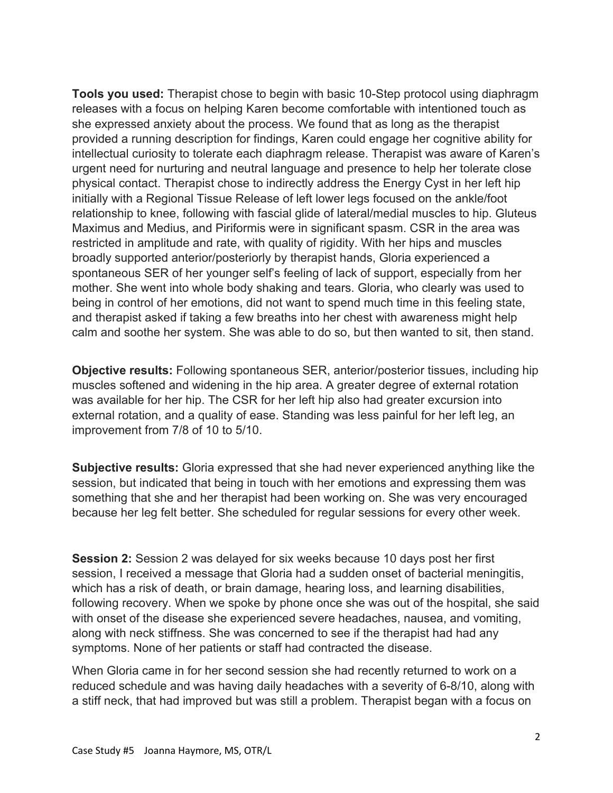**Tools you used:** Therapist chose to begin with basic 10-Step protocol using diaphragm releases with a focus on helping Karen become comfortable with intentioned touch as she expressed anxiety about the process. We found that as long as the therapist provided a running description for findings, Karen could engage her cognitive ability for intellectual curiosity to tolerate each diaphragm release. Therapist was aware of Karen's urgent need for nurturing and neutral language and presence to help her tolerate close physical contact. Therapist chose to indirectly address the Energy Cyst in her left hip initially with a Regional Tissue Release of left lower legs focused on the ankle/foot relationship to knee, following with fascial glide of lateral/medial muscles to hip. Gluteus Maximus and Medius, and Piriformis were in significant spasm. CSR in the area was restricted in amplitude and rate, with quality of rigidity. With her hips and muscles broadly supported anterior/posteriorly by therapist hands, Gloria experienced a spontaneous SER of her younger self's feeling of lack of support, especially from her mother. She went into whole body shaking and tears. Gloria, who clearly was used to being in control of her emotions, did not want to spend much time in this feeling state, and therapist asked if taking a few breaths into her chest with awareness might help calm and soothe her system. She was able to do so, but then wanted to sit, then stand.

**Objective results:** Following spontaneous SER, anterior/posterior tissues, including hip muscles softened and widening in the hip area. A greater degree of external rotation was available for her hip. The CSR for her left hip also had greater excursion into external rotation, and a quality of ease. Standing was less painful for her left leg, an improvement from 7/8 of 10 to 5/10.

**Subjective results:** Gloria expressed that she had never experienced anything like the session, but indicated that being in touch with her emotions and expressing them was something that she and her therapist had been working on. She was very encouraged because her leg felt better. She scheduled for regular sessions for every other week.

**Session 2:** Session 2 was delayed for six weeks because 10 days post her first session, I received a message that Gloria had a sudden onset of bacterial meningitis, which has a risk of death, or brain damage, hearing loss, and learning disabilities, following recovery. When we spoke by phone once she was out of the hospital, she said with onset of the disease she experienced severe headaches, nausea, and vomiting, along with neck stiffness. She was concerned to see if the therapist had had any symptoms. None of her patients or staff had contracted the disease.

When Gloria came in for her second session she had recently returned to work on a reduced schedule and was having daily headaches with a severity of 6-8/10, along with a stiff neck, that had improved but was still a problem. Therapist began with a focus on